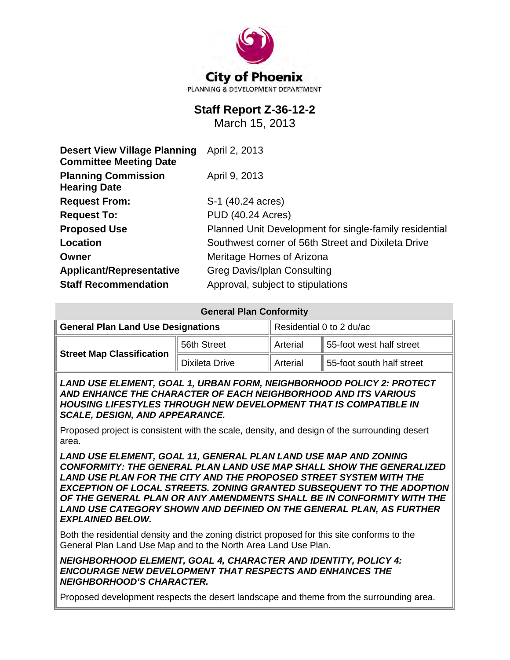

# **Staff Report Z-36-12-2**

March 15, 2013

| <b>Desert View Village Planning</b><br><b>Committee Meeting Date</b> | April 2, 2013                                          |  |  |
|----------------------------------------------------------------------|--------------------------------------------------------|--|--|
| <b>Planning Commission</b><br><b>Hearing Date</b>                    | April 9, 2013                                          |  |  |
| <b>Request From:</b>                                                 | S-1 (40.24 acres)                                      |  |  |
| <b>Request To:</b>                                                   | <b>PUD (40.24 Acres)</b>                               |  |  |
| <b>Proposed Use</b>                                                  | Planned Unit Development for single-family residential |  |  |
| Location                                                             | Southwest corner of 56th Street and Dixileta Drive     |  |  |
| Owner                                                                | Meritage Homes of Arizona                              |  |  |
| <b>Applicant/Representative</b>                                      | <b>Greg Davis/Iplan Consulting</b>                     |  |  |
| <b>Staff Recommendation</b>                                          | Approval, subject to stipulations                      |  |  |

| <b>General Plan Conformity</b>            |                       |                          |                           |  |
|-------------------------------------------|-----------------------|--------------------------|---------------------------|--|
| <b>General Plan Land Use Designations</b> |                       | Residential 0 to 2 du/ac |                           |  |
| <b>Street Map Classification</b>          | 56th Street           | Arterial                 | 55-foot west half street  |  |
|                                           | <b>Dixileta Drive</b> | Arterial                 | 55-foot south half street |  |

*LAND USE ELEMENT, GOAL 1, URBAN FORM, NEIGHBORHOOD POLICY 2: PROTECT AND ENHANCE THE CHARACTER OF EACH NEIGHBORHOOD AND ITS VARIOUS HOUSING LIFESTYLES THROUGH NEW DEVELOPMENT THAT IS COMPATIBLE IN SCALE, DESIGN, AND APPEARANCE.*

Proposed project is consistent with the scale, density, and design of the surrounding desert area.

*LAND USE ELEMENT, GOAL 11, GENERAL PLAN LAND USE MAP AND ZONING CONFORMITY: THE GENERAL PLAN LAND USE MAP SHALL SHOW THE GENERALIZED LAND USE PLAN FOR THE CITY AND THE PROPOSED STREET SYSTEM WITH THE EXCEPTION OF LOCAL STREETS. ZONING GRANTED SUBSEQUENT TO THE ADOPTION OF THE GENERAL PLAN OR ANY AMENDMENTS SHALL BE IN CONFORMITY WITH THE LAND USE CATEGORY SHOWN AND DEFINED ON THE GENERAL PLAN, AS FURTHER EXPLAINED BELOW.*

Both the residential density and the zoning district proposed for this site conforms to the General Plan Land Use Map and to the North Area Land Use Plan.

*NEIGHBORHOOD ELEMENT, GOAL 4, CHARACTER AND IDENTITY, POLICY 4: ENCOURAGE NEW DEVELOPMENT THAT RESPECTS AND ENHANCES THE NEIGHBORHOOD'S CHARACTER.*

Proposed development respects the desert landscape and theme from the surrounding area.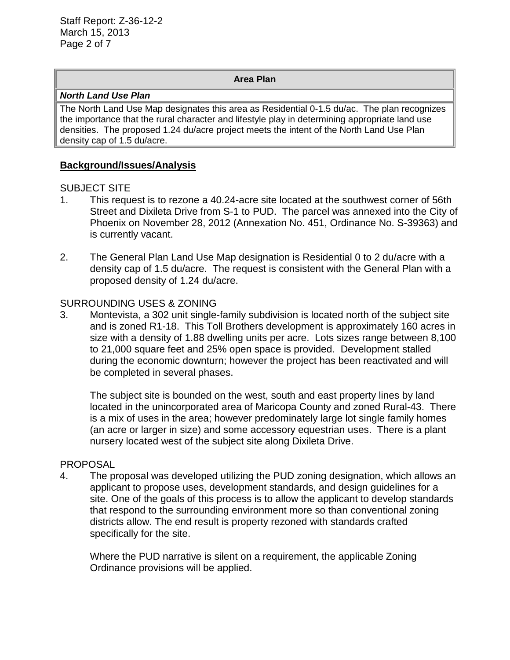#### **Area Plan**

#### *North Land Use Plan*

The North Land Use Map designates this area as Residential 0-1.5 du/ac. The plan recognizes the importance that the rural character and lifestyle play in determining appropriate land use densities. The proposed 1.24 du/acre project meets the intent of the North Land Use Plan density cap of 1.5 du/acre.

### **Background/Issues/Analysis**

#### SUBJECT SITE

- 1. This request is to rezone a 40.24-acre site located at the southwest corner of 56th Street and Dixileta Drive from S-1 to PUD. The parcel was annexed into the City of Phoenix on November 28, 2012 (Annexation No. 451, Ordinance No. S-39363) and is currently vacant.
- 2. The General Plan Land Use Map designation is Residential 0 to 2 du/acre with a density cap of 1.5 du/acre. The request is consistent with the General Plan with a proposed density of 1.24 du/acre.

#### SURROUNDING USES & ZONING

3. Montevista, a 302 unit single-family subdivision is located north of the subject site and is zoned R1-18. This Toll Brothers development is approximately 160 acres in size with a density of 1.88 dwelling units per acre. Lots sizes range between 8,100 to 21,000 square feet and 25% open space is provided. Development stalled during the economic downturn; however the project has been reactivated and will be completed in several phases.

The subject site is bounded on the west, south and east property lines by land located in the unincorporated area of Maricopa County and zoned Rural-43. There is a mix of uses in the area; however predominately large lot single family homes (an acre or larger in size) and some accessory equestrian uses. There is a plant nursery located west of the subject site along Dixileta Drive.

#### PROPOSAL

4. The proposal was developed utilizing the PUD zoning designation, which allows an applicant to propose uses, development standards, and design guidelines for a site. One of the goals of this process is to allow the applicant to develop standards that respond to the surrounding environment more so than conventional zoning districts allow. The end result is property rezoned with standards crafted specifically for the site.

Where the PUD narrative is silent on a requirement, the applicable Zoning Ordinance provisions will be applied.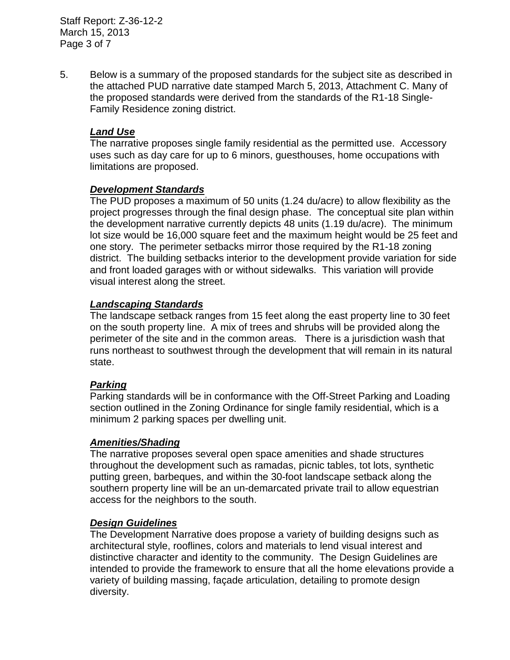Staff Report: Z-36-12-2 March 15, 2013 Page 3 of 7

5. Below is a summary of the proposed standards for the subject site as described in the attached PUD narrative date stamped March 5, 2013, Attachment C. Many of the proposed standards were derived from the standards of the R1-18 Single-Family Residence zoning district.

### *Land Use*

The narrative proposes single family residential as the permitted use. Accessory uses such as day care for up to 6 minors, guesthouses, home occupations with limitations are proposed.

### *Development Standards*

The PUD proposes a maximum of 50 units (1.24 du/acre) to allow flexibility as the project progresses through the final design phase. The conceptual site plan within the development narrative currently depicts 48 units (1.19 du/acre). The minimum lot size would be 16,000 square feet and the maximum height would be 25 feet and one story. The perimeter setbacks mirror those required by the R1-18 zoning district. The building setbacks interior to the development provide variation for side and front loaded garages with or without sidewalks. This variation will provide visual interest along the street.

### *Landscaping Standards*

The landscape setback ranges from 15 feet along the east property line to 30 feet on the south property line. A mix of trees and shrubs will be provided along the perimeter of the site and in the common areas. There is a jurisdiction wash that runs northeast to southwest through the development that will remain in its natural state.

### *Parking*

Parking standards will be in conformance with the Off-Street Parking and Loading section outlined in the Zoning Ordinance for single family residential, which is a minimum 2 parking spaces per dwelling unit.

#### *Amenities/Shading*

The narrative proposes several open space amenities and shade structures throughout the development such as ramadas, picnic tables, tot lots, synthetic putting green, barbeques, and within the 30-foot landscape setback along the southern property line will be an un-demarcated private trail to allow equestrian access for the neighbors to the south.

#### *Design Guidelines*

The Development Narrative does propose a variety of building designs such as architectural style, rooflines, colors and materials to lend visual interest and distinctive character and identity to the community. The Design Guidelines are intended to provide the framework to ensure that all the home elevations provide a variety of building massing, façade articulation, detailing to promote design diversity.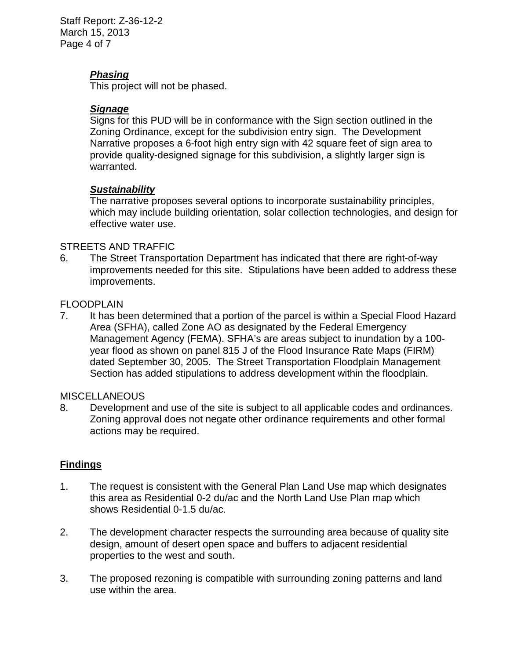Staff Report: Z-36-12-2 March 15, 2013 Page 4 of 7

## *Phasing*

This project will not be phased.

## *Signage*

Signs for this PUD will be in conformance with the Sign section outlined in the Zoning Ordinance, except for the subdivision entry sign. The Development Narrative proposes a 6-foot high entry sign with 42 square feet of sign area to provide quality-designed signage for this subdivision, a slightly larger sign is warranted.

## *Sustainability*

The narrative proposes several options to incorporate sustainability principles, which may include building orientation, solar collection technologies, and design for effective water use.

## STREETS AND TRAFFIC

6. The Street Transportation Department has indicated that there are right-of-way improvements needed for this site. Stipulations have been added to address these improvements.

## FLOODPLAIN

7. It has been determined that a portion of the parcel is within a Special Flood Hazard Area (SFHA), called Zone AO as designated by the Federal Emergency Management Agency (FEMA). SFHA's are areas subject to inundation by a 100 year flood as shown on panel 815 J of the Flood Insurance Rate Maps (FIRM) dated September 30, 2005. The Street Transportation Floodplain Management Section has added stipulations to address development within the floodplain.

### **MISCELLANEOUS**

8. Development and use of the site is subject to all applicable codes and ordinances. Zoning approval does not negate other ordinance requirements and other formal actions may be required.

## **Findings**

- 1. The request is consistent with the General Plan Land Use map which designates this area as Residential 0-2 du/ac and the North Land Use Plan map which shows Residential 0-1.5 du/ac.
- 2. The development character respects the surrounding area because of quality site design, amount of desert open space and buffers to adjacent residential properties to the west and south.
- 3. The proposed rezoning is compatible with surrounding zoning patterns and land use within the area.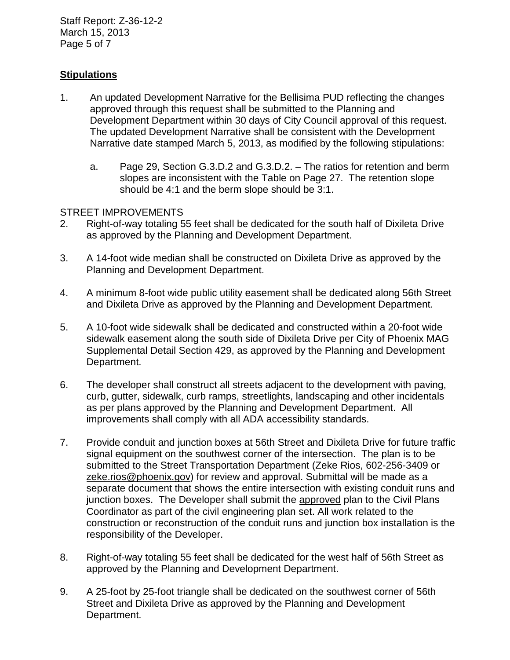Staff Report: Z-36-12-2 March 15, 2013 Page 5 of 7

## **Stipulations**

- 1. An updated Development Narrative for the Bellisima PUD reflecting the changes approved through this request shall be submitted to the Planning and Development Department within 30 days of City Council approval of this request. The updated Development Narrative shall be consistent with the Development Narrative date stamped March 5, 2013, as modified by the following stipulations:
	- a. Page 29, Section G.3.D.2 and G.3.D.2. The ratios for retention and berm slopes are inconsistent with the Table on Page 27. The retention slope should be 4:1 and the berm slope should be 3:1.

### STREET IMPROVEMENTS

- 2. Right-of-way totaling 55 feet shall be dedicated for the south half of Dixileta Drive as approved by the Planning and Development Department.
- 3. A 14-foot wide median shall be constructed on Dixileta Drive as approved by the Planning and Development Department.
- 4. A minimum 8-foot wide public utility easement shall be dedicated along 56th Street and Dixileta Drive as approved by the Planning and Development Department.
- 5. A 10-foot wide sidewalk shall be dedicated and constructed within a 20-foot wide sidewalk easement along the south side of Dixileta Drive per City of Phoenix MAG Supplemental Detail Section 429, as approved by the Planning and Development Department.
- 6. The developer shall construct all streets adjacent to the development with paving, curb, gutter, sidewalk, curb ramps, streetlights, landscaping and other incidentals as per plans approved by the Planning and Development Department. All improvements shall comply with all ADA accessibility standards.
- 7. Provide conduit and junction boxes at 56th Street and Dixileta Drive for future traffic signal equipment on the southwest corner of the intersection. The plan is to be submitted to the Street Transportation Department (Zeke Rios, 602-256-3409 or zeke.rios@phoenix.gov) for review and approval. Submittal will be made as a separate document that shows the entire intersection with existing conduit runs and junction boxes. The Developer shall submit the approved plan to the Civil Plans Coordinator as part of the civil engineering plan set. All work related to the construction or reconstruction of the conduit runs and junction box installation is the responsibility of the Developer.
- 8. Right-of-way totaling 55 feet shall be dedicated for the west half of 56th Street as approved by the Planning and Development Department.
- 9. A 25-foot by 25-foot triangle shall be dedicated on the southwest corner of 56th Street and Dixileta Drive as approved by the Planning and Development Department.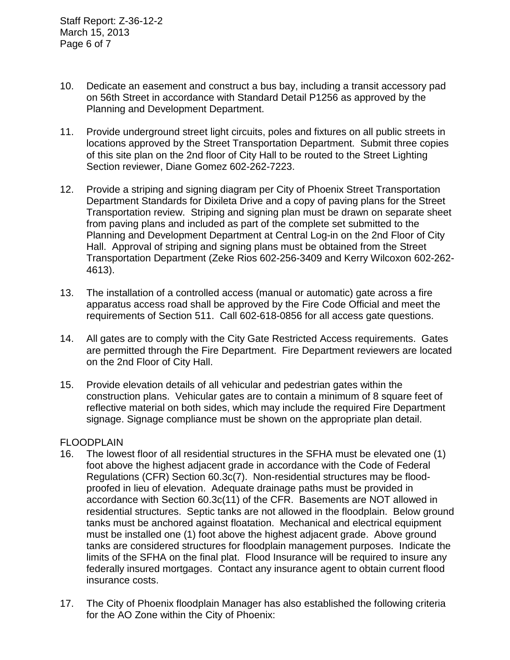- 10. Dedicate an easement and construct a bus bay, including a transit accessory pad on 56th Street in accordance with Standard Detail P1256 as approved by the Planning and Development Department.
- 11. Provide underground street light circuits, poles and fixtures on all public streets in locations approved by the Street Transportation Department. Submit three copies of this site plan on the 2nd floor of City Hall to be routed to the Street Lighting Section reviewer, Diane Gomez 602-262-7223.
- 12. Provide a striping and signing diagram per City of Phoenix Street Transportation Department Standards for Dixileta Drive and a copy of paving plans for the Street Transportation review. Striping and signing plan must be drawn on separate sheet from paving plans and included as part of the complete set submitted to the Planning and Development Department at Central Log-in on the 2nd Floor of City Hall. Approval of striping and signing plans must be obtained from the Street Transportation Department (Zeke Rios 602-256-3409 and Kerry Wilcoxon 602-262- 4613).
- 13. The installation of a controlled access (manual or automatic) gate across a fire apparatus access road shall be approved by the Fire Code Official and meet the requirements of Section 511. Call 602-618-0856 for all access gate questions.
- 14. All gates are to comply with the City Gate Restricted Access requirements. Gates are permitted through the Fire Department. Fire Department reviewers are located on the 2nd Floor of City Hall.
- 15. Provide elevation details of all vehicular and pedestrian gates within the construction plans. Vehicular gates are to contain a minimum of 8 square feet of reflective material on both sides, which may include the required Fire Department signage. Signage compliance must be shown on the appropriate plan detail.

### FLOODPLAIN

- 16. The lowest floor of all residential structures in the SFHA must be elevated one (1) foot above the highest adjacent grade in accordance with the Code of Federal Regulations (CFR) Section 60.3c(7). Non-residential structures may be floodproofed in lieu of elevation. Adequate drainage paths must be provided in accordance with Section 60.3c(11) of the CFR. Basements are NOT allowed in residential structures. Septic tanks are not allowed in the floodplain. Below ground tanks must be anchored against floatation. Mechanical and electrical equipment must be installed one (1) foot above the highest adjacent grade. Above ground tanks are considered structures for floodplain management purposes. Indicate the limits of the SFHA on the final plat. Flood Insurance will be required to insure any federally insured mortgages. Contact any insurance agent to obtain current flood insurance costs.
- 17. The City of Phoenix floodplain Manager has also established the following criteria for the AO Zone within the City of Phoenix: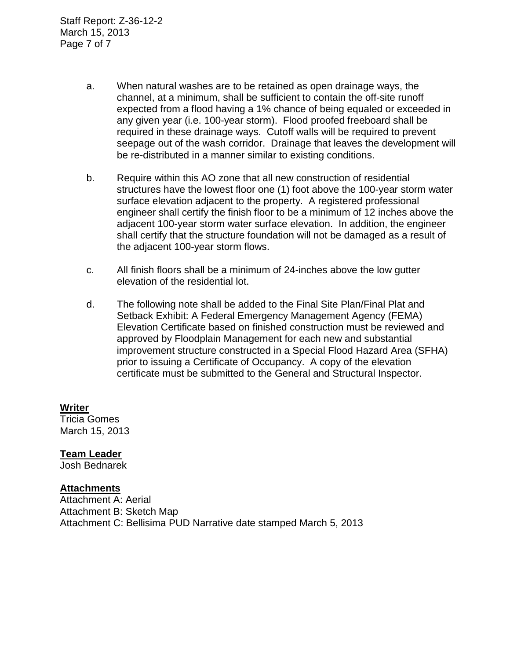Staff Report: Z-36-12-2 March 15, 2013 Page 7 of 7

- a. When natural washes are to be retained as open drainage ways, the channel, at a minimum, shall be sufficient to contain the off-site runoff expected from a flood having a 1% chance of being equaled or exceeded in any given year (i.e. 100-year storm). Flood proofed freeboard shall be required in these drainage ways. Cutoff walls will be required to prevent seepage out of the wash corridor. Drainage that leaves the development will be re-distributed in a manner similar to existing conditions.
- b. Require within this AO zone that all new construction of residential structures have the lowest floor one (1) foot above the 100-year storm water surface elevation adjacent to the property. A registered professional engineer shall certify the finish floor to be a minimum of 12 inches above the adjacent 100-year storm water surface elevation. In addition, the engineer shall certify that the structure foundation will not be damaged as a result of the adjacent 100-year storm flows.
- c. All finish floors shall be a minimum of 24-inches above the low gutter elevation of the residential lot.
- d. The following note shall be added to the Final Site Plan/Final Plat and Setback Exhibit: A Federal Emergency Management Agency (FEMA) Elevation Certificate based on finished construction must be reviewed and approved by Floodplain Management for each new and substantial improvement structure constructed in a Special Flood Hazard Area (SFHA) prior to issuing a Certificate of Occupancy. A copy of the elevation certificate must be submitted to the General and Structural Inspector.

#### **Writer** Tricia Gomes

March 15, 2013

## **Team Leader**

Josh Bednarek

### **Attachments**

Attachment A: Aerial Attachment B: Sketch Map Attachment C: Bellisima PUD Narrative date stamped March 5, 2013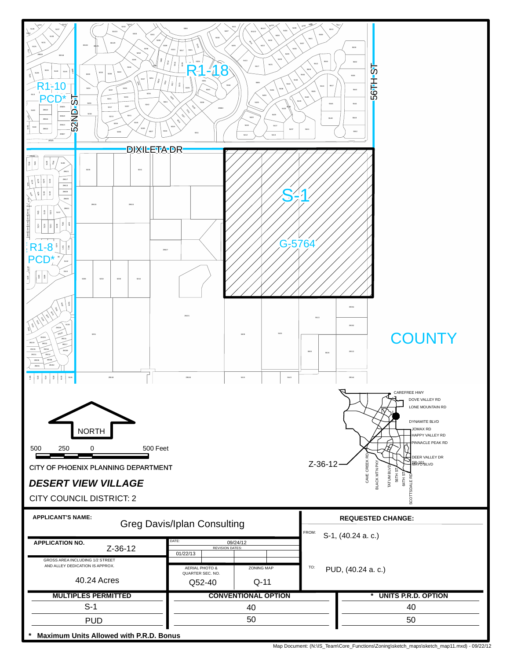